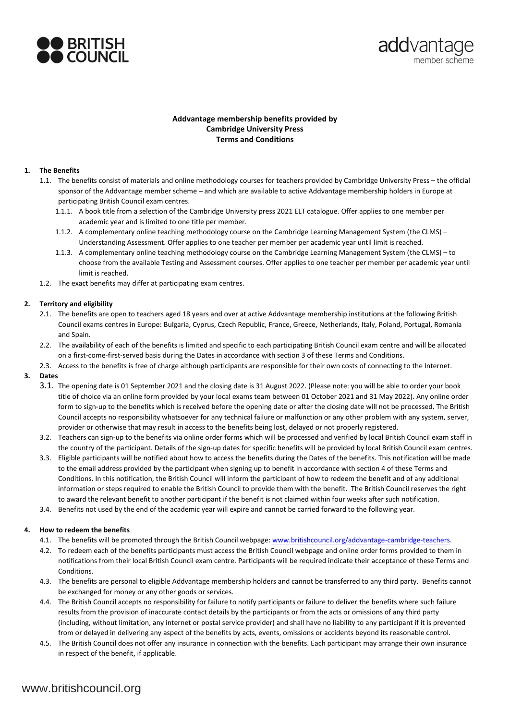



# **Addvantage membership benefits provided by Cambridge University Press Terms and Conditions**

## **1. The Benefits**

- 1.1. The benefits consist of materials and online methodology courses for teachers provided by Cambridge University Press the official sponsor of the Addvantage member scheme – and which are available to active Addvantage membership holders in Europe at participating British Council exam centres.
	- 1.1.1. A book title from a selection of the Cambridge University press 2021 ELT catalogue. Offer applies to one member per academic year and is limited to one title per member.
	- 1.1.2. A complementary online teaching methodology course on the Cambridge Learning Management System (the CLMS) Understanding Assessment. Offer applies to one teacher per member per academic year until limit is reached.
	- 1.1.3. A complementary online teaching methodology course on the Cambridge Learning Management System (the CLMS) to choose from the available Testing and Assessment courses. Offer applies to one teacher per member per academic year until limit is reached.
- 1.2. The exact benefits may differ at participating exam centres.

## **2. Territory and eligibility**

- 2.1. The benefits are open to teachers aged 18 years and over at active Addvantage membership institutions at the following British Council exams centres in Europe: Bulgaria, Cyprus, Czech Republic, France, Greece, Netherlands, Italy, Poland, Portugal, Romania and Spain.
- 2.2. The availability of each of the benefits is limited and specific to each participating British Council exam centre and will be allocated on a first-come-first-served basis during the Dates in accordance with section 3 of these Terms and Conditions.
- 2.3. Access to the benefits is free of charge although participants are responsible for their own costs of connecting to the Internet.
- **3. Dates**
	- 3.1. The opening date is 01 September 2021 and the closing date is 31 August 2022. (Please note: you will be able to order your book title of choice via an online form provided by your local exams team between 01 October 2021 and 31 May 2022). Any online order form to sign-up to the benefits which is received before the opening date or after the closing date will not be processed. The British Council accepts no responsibility whatsoever for any technical failure or malfunction or any other problem with any system, server, provider or otherwise that may result in access to the benefits being lost, delayed or not properly registered.
	- 3.2. Teachers can sign-up to the benefits via online order forms which will be processed and verified by local British Council exam staff in the country of the participant. Details of the sign-up dates for specific benefits will be provided by local British Council exam centres.
	- 3.3. Eligible participants will be notified about how to access the benefits during the Dates of the benefits. This notification will be made to the email address provided by the participant when signing up to benefit in accordance with section 4 of these Terms and Conditions. In this notification, the British Council will inform the participant of how to redeem the benefit and of any additional information or steps required to enable the British Council to provide them with the benefit. The British Council reserves the right to award the relevant benefit to another participant if the benefit is not claimed within four weeks after such notification.
	- 3.4. Benefits not used by the end of the academic year will expire and cannot be carried forward to the following year.

## **4. How to redeem the benefits**

- 4.1. The benefits will be promoted through the British Council webpage: [www.britishcouncil.org/addvantage-cambridge-teachers.](http://www.britishcouncil.org/addvantage-cambridge-teachers)
- 4.2. To redeem each of the benefits participants must access the British Council webpage and online order forms provided to them in notifications from their local British Council exam centre. Participants will be required indicate their acceptance of these Terms and Conditions.
- 4.3. The benefits are personal to eligible Addvantage membership holders and cannot be transferred to any third party. Benefits cannot be exchanged for money or any other goods or services.
- 4.4. The British Council accepts no responsibility for failure to notify participants or failure to deliver the benefits where such failure results from the provision of inaccurate contact details by the participants or from the acts or omissions of any third party (including, without limitation, any internet or postal service provider) and shall have no liability to any participant if it is prevented from or delayed in delivering any aspect of the benefits by acts, events, omissions or accidents beyond its reasonable control.
- 4.5. The British Council does not offer any insurance in connection with the benefits. Each participant may arrange their own insurance in respect of the benefit, if applicable.

# www.britishcouncil.org